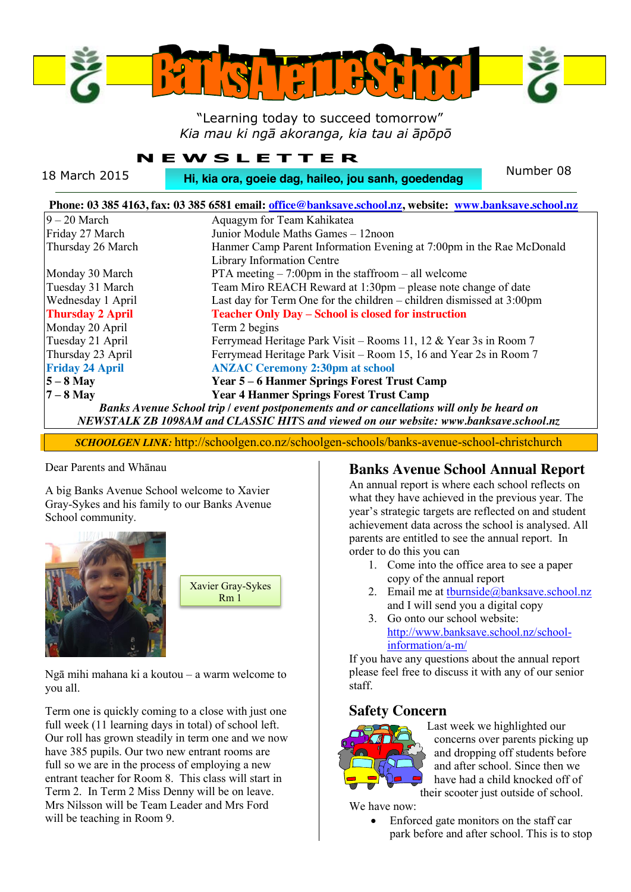

#### "Learning today to succeed tomorrow" *Kia mau ki ngā akoranga, kia tau ai āpōpō*

#### **NEWSLETTER**

| 18 March 2015           | Number 08<br>Hi, kia ora, goeie dag, haileo, jou sanh, goedendag                                                                                                                   |
|-------------------------|------------------------------------------------------------------------------------------------------------------------------------------------------------------------------------|
|                         | Phone: 03 385 4163, fax: 03 385 6581 email: office@banksave.school.nz, website: www.banksave.school.nz                                                                             |
| $9 - 20$ March          | Aquagym for Team Kahikatea                                                                                                                                                         |
| Friday 27 March         | Junior Module Maths Games - 12noon                                                                                                                                                 |
| Thursday 26 March       | Hanmer Camp Parent Information Evening at 7:00pm in the Rae McDonald                                                                                                               |
|                         | Library Information Centre                                                                                                                                                         |
| Monday 30 March         | PTA meeting $-7:00$ pm in the staffroom $-$ all welcome                                                                                                                            |
| Tuesday 31 March        | Team Miro REACH Reward at 1:30pm - please note change of date                                                                                                                      |
| Wednesday 1 April       | Last day for Term One for the children $-$ children dismissed at 3:00pm                                                                                                            |
| <b>Thursday 2 April</b> | <b>Teacher Only Day - School is closed for instruction</b>                                                                                                                         |
| Monday 20 April         | Term 2 begins                                                                                                                                                                      |
| Tuesday 21 April        | Ferrymead Heritage Park Visit – Rooms 11, 12 & Year 3s in Room 7                                                                                                                   |
| Thursday 23 April       | Ferrymead Heritage Park Visit – Room 15, 16 and Year 2s in Room 7                                                                                                                  |
| <b>Friday 24 April</b>  | <b>ANZAC Ceremony 2:30pm at school</b>                                                                                                                                             |
| $5 - 8$ May             | <b>Year 5 – 6 Hanmer Springs Forest Trust Camp</b>                                                                                                                                 |
| $7 - 8$ May             | <b>Year 4 Hanmer Springs Forest Trust Camp</b>                                                                                                                                     |
|                         | Banks Avenue School trip / event postponements and or cancellations will only be heard on<br>NEWSTALK ZB 1098AM and CLASSIC HITS and viewed on our website: www.banksave.school.nz |

*SCHOOLGEN LINK:* http://schoolgen.co.nz/schoolgen-schools/banks-avenue-school-christchurch

#### Dear Parents and Whānau

A big Banks Avenue School welcome to Xavier Gray-Sykes and his family to our Banks Avenue School community.



| <b>Xavier Gray-Sykes</b><br>Rm1 |
|---------------------------------|
|                                 |

Ngā mihi mahana ki a koutou – a warm welcome to you all.

Term one is quickly coming to a close with just one full week (11 learning days in total) of school left. Our roll has grown steadily in term one and we now have 385 pupils. Our two new entrant rooms are full so we are in the process of employing a new entrant teacher for Room 8. This class will start in Term 2. In Term 2 Miss Denny will be on leave. Mrs Nilsson will be Team Leader and Mrs Ford will be teaching in Room 9.

#### **Banks Avenue School Annual Report**

An annual report is where each school reflects on what they have achieved in the previous year. The year's strategic targets are reflected on and student achievement data across the school is analysed. All parents are entitled to see the annual report. In order to do this you can

- 1. Come into the office area to see a paper copy of the annual report
- 2. Email me at [tburnside@banksave.school.nz](mailto:tburnside@banksave.school.nz) and I will send you a digital copy
- 3. Go onto our school website: [http://www.banksave.school.nz/school](http://www.banksave.school.nz/school-information/a-m/)[information/a-m/](http://www.banksave.school.nz/school-information/a-m/)

If you have any questions about the annual report please feel free to discuss it with any of our senior staff.

## **Safety Concern**



Last week we highlighted our concerns over parents picking up and dropping off students before and after school. Since then we have had a child knocked off of their scooter just outside of school.

We have now:

Enforced gate monitors on the staff car park before and after school. This is to stop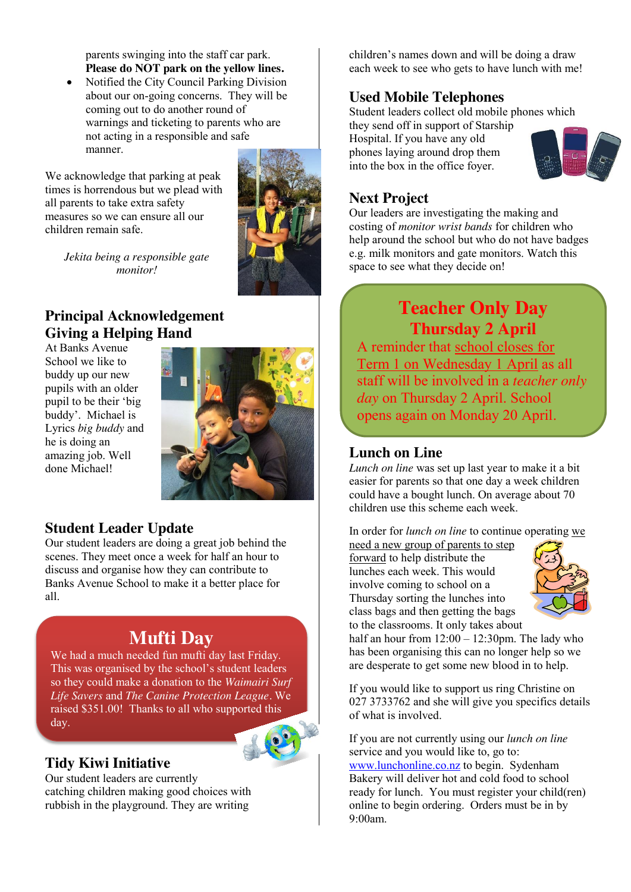parents swinging into the staff car park. **Please do NOT park on the yellow lines.**

Notified the City Council Parking Division about our on-going concerns. They will be coming out to do another round of warnings and ticketing to parents who are not acting in a responsible and safe manner.

We acknowledge that parking at peak times is horrendous but we plead with all parents to take extra safety measures so we can ensure all our children remain safe.



*Jekita being a responsible gate monitor!*

# **Principal Acknowledgement Giving a Helping Hand**

At Banks Avenue School we like to buddy up our new pupils with an older pupil to be their 'big buddy'. Michael is Lyrics *big buddy* and he is doing an amazing job. Well done Michael!



# **Student Leader Update**

Our student leaders are doing a great job behind the scenes. They meet once a week for half an hour to discuss and organise how they can contribute to Banks Avenue School to make it a better place for all.

# **Mufti Day**

We had a much needed fun mufti day last Friday. This was organised by the school's student leaders so they could make a donation to the *Waimairi Surf Life Savers* and *The Canine Protection League.* We raised \$351.00! Thanks to all who sup[ported this](http://www.dreamstime.com/royalty-free-stock-photography-globe-earth-mascot-thumbs-up-image23275007)  day.

# **Tidy Kiwi Initiative**

Our student leaders are currently catching children making good choices with rubbish in the playground. They are writing

children's names down and will be doing a draw each week to see who gets to have lunch with me!

# **Used Mobile Telephones**

Student leaders collect old mobile phones which they send off in support of Starship

Hospital. If you have any old phones laying around drop them into the box in the office foyer.



## **Next Project**

Our leaders are investigating the making and costing of *monitor wrist bands* for children who help around the school but who do not have badges e.g. milk monitors and gate monitors. Watch this space to see what they decide on!

# **Teacher Only Day Thursday 2 April**

A reminder that school closes for Term 1 on Wednesday 1 April as all staff will be involved in a *teacher only day* on Thursday 2 April. School opens again on Monday 20 April.

## **Lunch on Line**

*Lunch on line* was set up last year to make it a bit easier for parents so that one day a week children could have a bought lunch. On average about 70 children use this scheme each week.

In order for *lunch on line* to continue operating we

need a new group of parents to step forward to help distribute the lunches each week. This would involve coming to school on a Thursday sorting the lunches into class bags and then getting the bags to the classrooms. It only takes about



half an hour from  $12:00 - 12:30$ pm. The lady who has been organising this can no longer help so we are desperate to get some new blood in to help.

If you would like to support us ring Christine on 027 3733762 and she will give you specifics details of what is involved.

If you are not currently using our *lunch on line* service and you would like to, go to: [www.lunchonline.co.nz](http://www.lunchonline.co.nz/) to begin. Sydenham Bakery will deliver hot and cold food to school ready for lunch. You must register your child(ren) online to begin ordering. Orders must be in by 9:00am.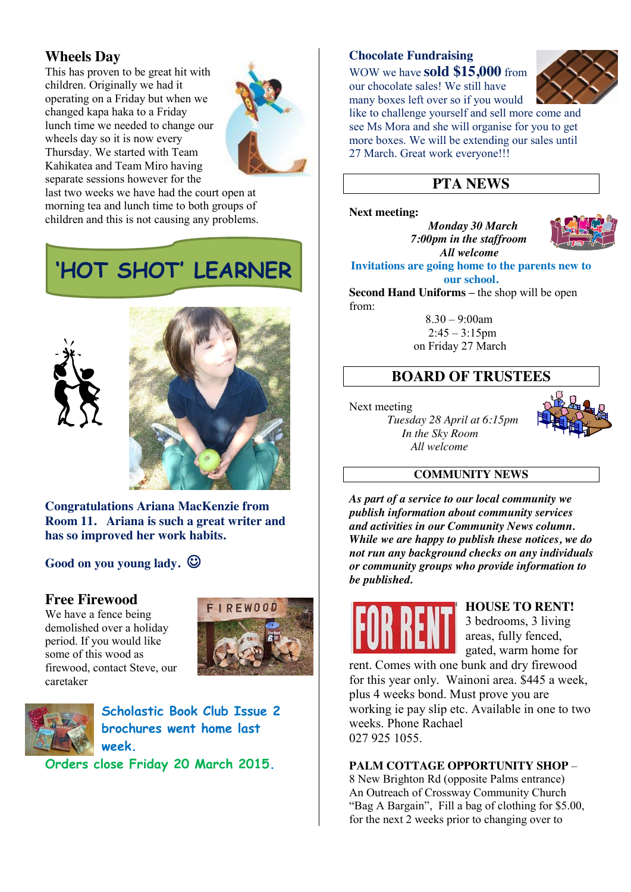## **Wheels Day**

This has proven to be great hit with children. Originally we had it operating on a Friday but when we changed kapa haka to a Friday lunch time we needed to change our wheels day so it is now every Thursday. We started with Team Kahikatea and Team Miro having separate sessions however for the



last two weeks we have had the court open at morning tea and lunch time to both groups of children and this is not causing any problems.

**'HOT SHOT' LEARNER**





**Congratulations Ariana MacKenzie from Room 11. Ariana is such a great writer and has so improved her work habits.**

Good on you young lady.  $\odot$ 

#### **Free Firewood**

We have a fence being demolished over a holiday period. If you would like some of this wood as firewood, contact Steve, our caretaker





**Scholastic Book Club Issue 2 brochures went home last week.**

**Orders close Friday 20 March 2015.**

#### **Chocolate Fundraising**

WOW we have **sold \$15,000** from our chocolate sales! We still have many boxes left over so if you would



like to challenge yourself and sell more come and see Ms Mora and she will organise for you to get more boxes. We will be extending our sales until 27 March. Great work everyone!!!

## **PTA NEWS**

#### **Next meeting:**

 *Monday 30 March*  *7:00pm in the staffroom All welcome* 



**Invitations are going home to the parents new to our school.**

**Second Hand Uniforms – the shop will be open** from:

> $8.30 - 9:00$ am  $2:45 - 3:15$ pm on Friday 27 March

## **BOARD OF TRUSTEES**

#### Next meeting

*Tuesday 28 April at 6:15pm In the Sky Room All welcome*



#### **COMMUNITY NEWS**

*As part of a service to our local community we publish information about community services and activities in our Community News column. While we are happy to publish these notices, we do not run any background checks on any individuals or community groups who provide information to be published.*



#### **HOUSE TO RENT!**

3 bedrooms, 3 living areas, fully fenced, gated, warm home for

rent. Comes with one bunk and dry firewood for this year only. Wainoni area. \$445 a week, plus 4 weeks bond. Must prove you are working ie pay slip etc. Available in one to two weeks. Phone Rachael 027 925 1055.

#### **PALM COTTAGE OPPORTUNITY SHOP** –

8 New Brighton Rd (opposite Palms entrance) An Outreach of Crossway Community Church "Bag A Bargain", Fill a bag of clothing for \$5.00, for the next 2 weeks prior to changing over to